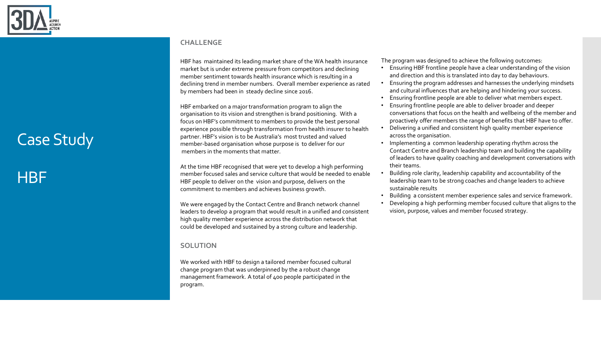

## Case Study

## **HBF**

#### **CHALLENGE**

HBF has maintained its leading market share of the WA health insurance market but is under extreme pressure from competitors and declining member sentiment towards health insurance which is resulting in a declining trend in member numbers. Overall member experience as rated by members had been in steady decline since 2016.

HBF embarked on a major transformation program to align the organisation to its vision and strengthen is brand positioning. With a focus on HBF's commitment to members to provide the best personal experience possible through transformation from health insurer to health partner. HBF's vision is to be Australia's most trusted and valued member-based organisation whose purpose is to deliver for our members in the moments that matter.

At the time HBF recognised that were yet to develop a high performing member focused sales and service culture that would be needed to enable HBF people to deliver on the vision and purpose, delivers on the commitment to members and achieves business growth.

We were engaged by the Contact Centre and Branch network channel leaders to develop a program that would result in a unified and consistent high quality member experience across the distribution network that could be developed and sustained by a strong culture and leadership.

### **SOLUTION**

We worked with HBF to design a tailored member focused cultural change program that was underpinned by the a robust change management framework. A total of 400 people participated in the program.

The program was designed to achieve the following outcomes:

- Ensuring HBF frontline people have a clear understanding of the vision and direction and this is translated into day to day behaviours.
- Ensuring the program addresses and harnesses the underlying mindsets and cultural influences that are helping and hindering your success.
- Ensuring frontline people are able to deliver what members expect.
- Ensuring frontline people are able to deliver broader and deeper conversations that focus on the health and wellbeing of the member and proactively offer members the range of benefits that HBF have to offer.
- Delivering a unified and consistent high quality member experience across the organisation.
- Implementing a common leadership operating rhythm across the Contact Centre and Branch leadership team and building the capability of leaders to have quality coaching and development conversations with their teams.
- Building role clarity, leadership capability and accountability of the leadership team to be strong coaches and change leaders to achieve sustainable results
- Building a consistent member experience sales and service framework.
- Developing a high performing member focused culture that aligns to the vision, purpose, values and member focused strategy.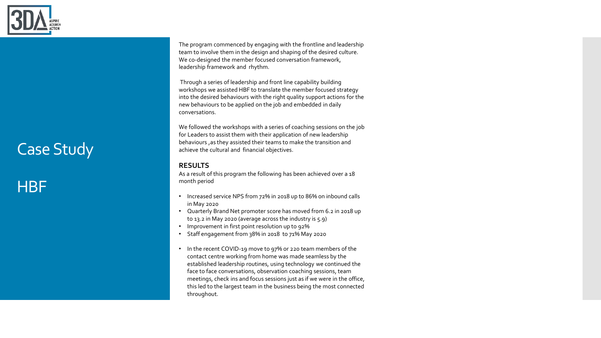

# Case Study

### **HBF**

The program commenced by engaging with the frontline and leadership team to involve them in the design and shaping of the desired culture. We co-designed the member focused conversation framework, leadership framework and rhythm.

Through a series of leadership and front line capability building workshops we assisted HBF to translate the member focused strategy into the desired behaviours with the right quality support actions for the new behaviours to be applied on the job and embedded in daily conversations.

We followed the workshops with a series of coaching sessions on the job for Leaders to assist them with their application of new leadership behaviours ,as they assisted their teams to make the transition and achieve the cultural and financial objectives.

#### **RESULTS**

As a result of this program the following has been achieved over a 18 month period

- Increased service NPS from 72% in 2018 up to 86% on inbound calls in May 2020
- Quarterly Brand Net promoter score has moved from 6.2 in 2018 up to 13.2 in May 2020 (average across the industry is 5.9)
- Improvement in first point resolution up to 92%
- Staff engagement from 38% in 2018 to 71% May 2020
- In the recent COVID-19 move to 97% or 220 team members of the contact centre working from home was made seamless by the established leadership routines, using technology we continued the face to face conversations, observation coaching sessions, team meetings, check ins and focus sessions just as if we were in the office, this led to the largest team in the business being the most connected throughout.